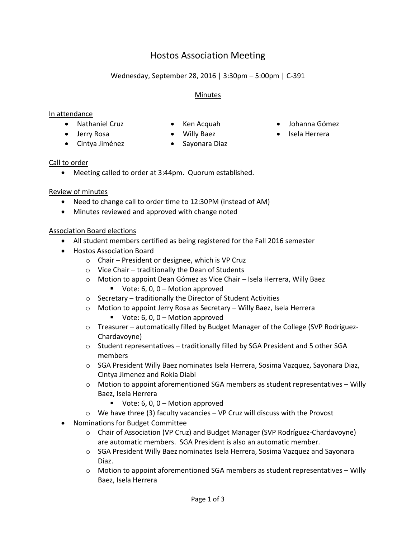# Hostos Association Meeting

# Wednesday, September 28, 2016 | 3:30pm – 5:00pm | C-391

# Minutes

# In attendance

- 
- 
- 
- Cintya Jiménez Sayonara Diaz
- -

- Call to order
	- Meeting called to order at 3:44pm. Quorum established.

# Review of minutes

- Need to change call to order time to 12:30PM (instead of AM)
- Minutes reviewed and approved with change noted

# Association Board elections

- All student members certified as being registered for the Fall 2016 semester
- Hostos Association Board
	- o Chair President or designee, which is VP Cruz
	- $\circ$  Vice Chair traditionally the Dean of Students
	- o Motion to appoint Dean Gómez as Vice Chair Isela Herrera, Willy Baez
		- Vote:  $6, 0, 0$  Motion approved
	- o Secretary traditionally the Director of Student Activities
	- o Motion to appoint Jerry Rosa as Secretary Willy Baez, Isela Herrera
		- Vote:  $6, 0, 0$  Motion approved
	- o Treasurer automatically filled by Budget Manager of the College (SVP Rodríguez-Chardavoyne)
	- $\circ$  Student representatives traditionally filled by SGA President and 5 other SGA members
	- o SGA President Willy Baez nominates Isela Herrera, Sosima Vazquez, Sayonara Diaz, Cintya Jimenez and Rokia Diabi
	- $\circ$  Motion to appoint aforementioned SGA members as student representatives Willy Baez, Isela Herrera
		- Vote:  $6, 0, 0$  Motion approved
	- $\circ$  We have three (3) faculty vacancies VP Cruz will discuss with the Provost
- Nominations for Budget Committee
	- o Chair of Association (VP Cruz) and Budget Manager (SVP Rodríguez-Chardavoyne) are automatic members. SGA President is also an automatic member.
	- o SGA President Willy Baez nominates Isela Herrera, Sosima Vazquez and Sayonara Diaz.
	- $\circ$  Motion to appoint aforementioned SGA members as student representatives Willy Baez, Isela Herrera
- Nathaniel Cruz Ken Acquah Johanna Gómez
- Jerry Rosa Willy Baez Isela Herrera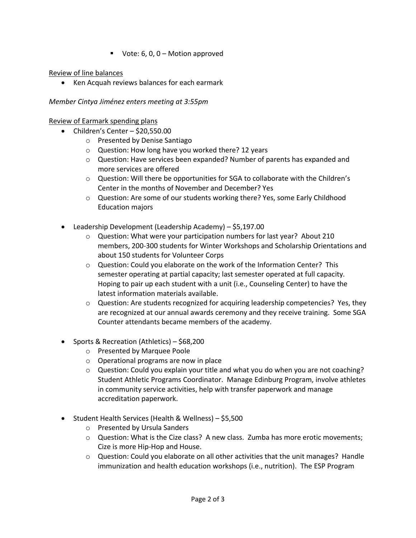Vote:  $6, 0, 0$  – Motion approved

# Review of line balances

Ken Acquah reviews balances for each earmark

# *Member Cintya Jiménez enters meeting at 3:55pm*

# Review of Earmark spending plans

- $\bullet$  Children's Center \$20,550.00
	- o Presented by Denise Santiago
	- o Question: How long have you worked there? 12 years
	- o Question: Have services been expanded? Number of parents has expanded and more services are offered
	- $\circ$  Question: Will there be opportunities for SGA to collaborate with the Children's Center in the months of November and December? Yes
	- o Question: Are some of our students working there? Yes, some Early Childhood Education majors
- Leadership Development (Leadership Academy) \$5,197.00
	- o Question: What were your participation numbers for last year? About 210 members, 200-300 students for Winter Workshops and Scholarship Orientations and about 150 students for Volunteer Corps
	- o Question: Could you elaborate on the work of the Information Center? This semester operating at partial capacity; last semester operated at full capacity. Hoping to pair up each student with a unit (i.e., Counseling Center) to have the latest information materials available.
	- $\circ$  Question: Are students recognized for acquiring leadership competencies? Yes, they are recognized at our annual awards ceremony and they receive training. Some SGA Counter attendants became members of the academy.
- Sports & Recreation (Athletics) \$68,200
	- o Presented by Marquee Poole
	- o Operational programs are now in place
	- $\circ$  Question: Could you explain your title and what you do when you are not coaching? Student Athletic Programs Coordinator. Manage Edinburg Program, involve athletes in community service activities, help with transfer paperwork and manage accreditation paperwork.
- Student Health Services (Health & Wellness) \$5,500
	- o Presented by Ursula Sanders
	- $\circ$  Question: What is the Cize class? A new class. Zumba has more erotic movements; Cize is more Hip-Hop and House.
	- $\circ$  Question: Could you elaborate on all other activities that the unit manages? Handle immunization and health education workshops (i.e., nutrition). The ESP Program